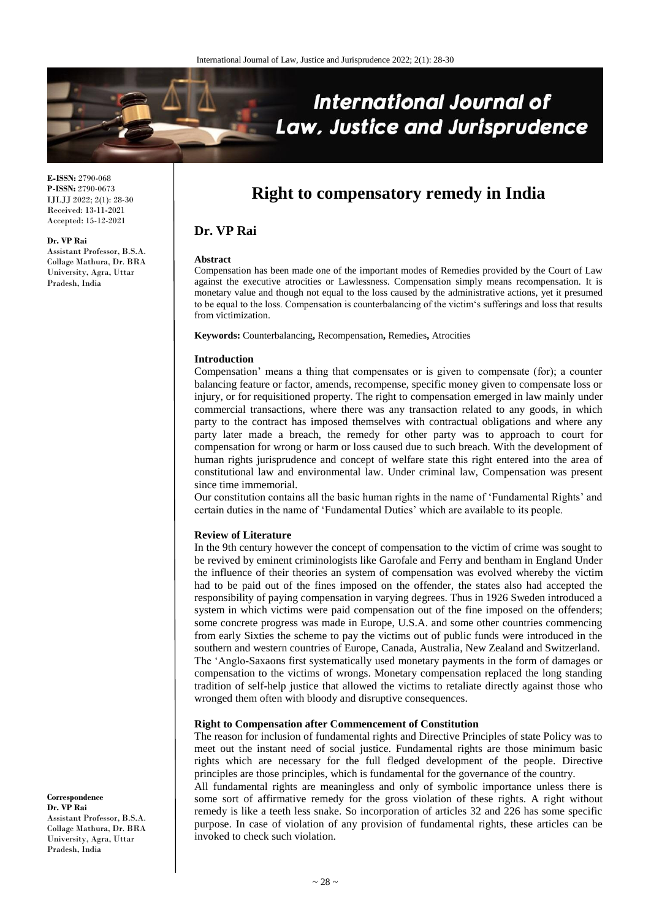

**E-ISSN:** 2790-068 **P-ISSN:** 2790-0673 IJLJJ 2022; 2(1): 28-30 Received: 13-11-2021 Accepted: 15-12-2021

#### **Dr. VP Rai**

Assistant Professor, B.S.A. Collage Mathura, Dr. BRA University, Agra, Uttar Pradesh, India

# **Right to compensatory remedy in India**

# **Dr. VP Rai**

#### **Abstract**

Compensation has been made one of the important modes of Remedies provided by the Court of Law against the executive atrocities or Lawlessness. Compensation simply means recompensation. It is monetary value and though not equal to the loss caused by the administrative actions, yet it presumed to be equal to the loss. Compensation is counterbalancing of the victim's sufferings and loss that results from victimization.

**Keywords:** Counterbalancing**,** Recompensation**,** Remedies**,** Atrocities

## **Introduction**

Compensation' means a thing that compensates or is given to compensate (for); a counter balancing feature or factor, amends, recompense, specific money given to compensate loss or injury, or for requisitioned property. The right to compensation emerged in law mainly under commercial transactions, where there was any transaction related to any goods, in which party to the contract has imposed themselves with contractual obligations and where any party later made a breach, the remedy for other party was to approach to court for compensation for wrong or harm or loss caused due to such breach. With the development of human rights jurisprudence and concept of welfare state this right entered into the area of constitutional law and environmental law. Under criminal law, Compensation was present since time immemorial.

Our constitution contains all the basic human rights in the name of 'Fundamental Rights' and certain duties in the name of 'Fundamental Duties' which are available to its people.

### **Review of Literature**

In the 9th century however the concept of compensation to the victim of crime was sought to be revived by eminent criminologists like Garofale and Ferry and bentham in England Under the influence of their theories an system of compensation was evolved whereby the victim had to be paid out of the fines imposed on the offender, the states also had accepted the responsibility of paying compensation in varying degrees. Thus in 1926 Sweden introduced a system in which victims were paid compensation out of the fine imposed on the offenders; some concrete progress was made in Europe, U.S.A. and some other countries commencing from early Sixties the scheme to pay the victims out of public funds were introduced in the southern and western countries of Europe, Canada, Australia, New Zealand and Switzerland. The 'Anglo-Saxaons first systematically used monetary payments in the form of damages or compensation to the victims of wrongs. Monetary compensation replaced the long standing tradition of self-help justice that allowed the victims to retaliate directly against those who wronged them often with bloody and disruptive consequences.

## **Right to Compensation after Commencement of Constitution**

The reason for inclusion of fundamental rights and Directive Principles of state Policy was to meet out the instant need of social justice. Fundamental rights are those minimum basic rights which are necessary for the full fledged development of the people. Directive principles are those principles, which is fundamental for the governance of the country.

All fundamental rights are meaningless and only of symbolic importance unless there is some sort of affirmative remedy for the gross violation of these rights. A right without remedy is like a teeth less snake. So incorporation of articles 32 and 226 has some specific purpose. In case of violation of any provision of fundamental rights, these articles can be invoked to check such violation.

**Correspondence Dr. VP Rai** Assistant Professor, B.S.A. Collage Mathura, Dr. BRA University, Agra, Uttar Pradesh, India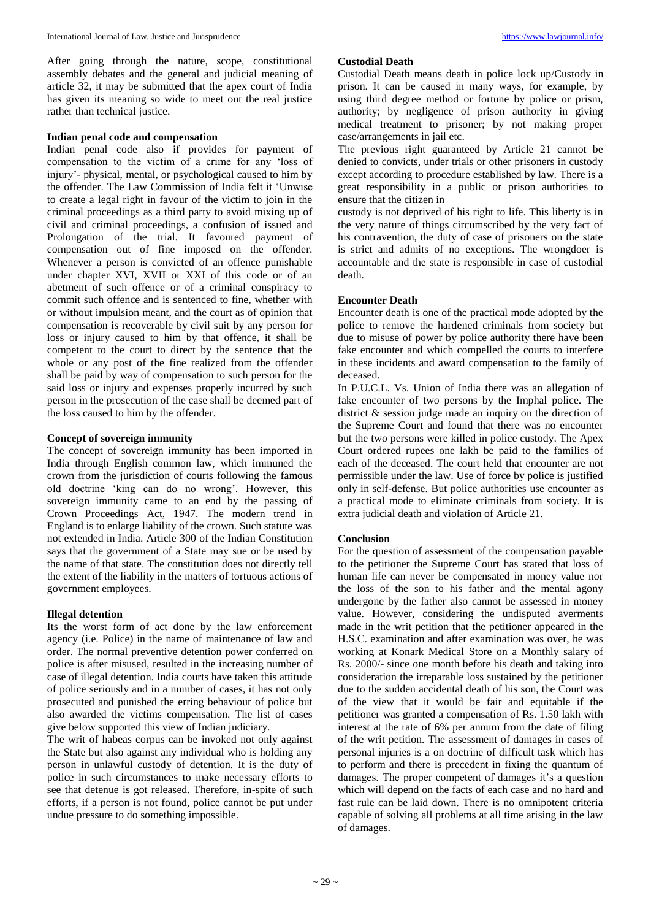After going through the nature, scope, constitutional assembly debates and the general and judicial meaning of article 32, it may be submitted that the apex court of India has given its meaning so wide to meet out the real justice rather than technical justice.

#### **Indian penal code and compensation**

Indian penal code also if provides for payment of compensation to the victim of a crime for any 'loss of injury'- physical, mental, or psychological caused to him by the offender. The Law Commission of India felt it 'Unwise to create a legal right in favour of the victim to join in the criminal proceedings as a third party to avoid mixing up of civil and criminal proceedings, a confusion of issued and Prolongation of the trial. It favoured payment of compensation out of fine imposed on the offender. Whenever a person is convicted of an offence punishable under chapter XVI, XVII or XXI of this code or of an abetment of such offence or of a criminal conspiracy to commit such offence and is sentenced to fine, whether with or without impulsion meant, and the court as of opinion that compensation is recoverable by civil suit by any person for loss or injury caused to him by that offence, it shall be competent to the court to direct by the sentence that the whole or any post of the fine realized from the offender shall be paid by way of compensation to such person for the said loss or injury and expenses properly incurred by such person in the prosecution of the case shall be deemed part of the loss caused to him by the offender.

## **Concept of sovereign immunity**

The concept of sovereign immunity has been imported in India through English common law, which immuned the crown from the jurisdiction of courts following the famous old doctrine 'king can do no wrong'. However, this sovereign immunity came to an end by the passing of Crown Proceedings Act, 1947. The modern trend in England is to enlarge liability of the crown. Such statute was not extended in India. Article 300 of the Indian Constitution says that the government of a State may sue or be used by the name of that state. The constitution does not directly tell the extent of the liability in the matters of tortuous actions of government employees.

## **Illegal detention**

Its the worst form of act done by the law enforcement agency (i.e. Police) in the name of maintenance of law and order. The normal preventive detention power conferred on police is after misused, resulted in the increasing number of case of illegal detention. India courts have taken this attitude of police seriously and in a number of cases, it has not only prosecuted and punished the erring behaviour of police but also awarded the victims compensation. The list of cases give below supported this view of Indian judiciary.

The writ of habeas corpus can be invoked not only against the State but also against any individual who is holding any person in unlawful custody of detention. It is the duty of police in such circumstances to make necessary efforts to see that detenue is got released. Therefore, in-spite of such efforts, if a person is not found, police cannot be put under undue pressure to do something impossible.

## **Custodial Death**

Custodial Death means death in police lock up/Custody in prison. It can be caused in many ways, for example, by using third degree method or fortune by police or prism, authority; by negligence of prison authority in giving medical treatment to prisoner; by not making proper case/arrangements in jail etc.

The previous right guaranteed by Article 21 cannot be denied to convicts, under trials or other prisoners in custody except according to procedure established by law. There is a great responsibility in a public or prison authorities to ensure that the citizen in

custody is not deprived of his right to life. This liberty is in the very nature of things circumscribed by the very fact of his contravention, the duty of case of prisoners on the state is strict and admits of no exceptions. The wrongdoer is accountable and the state is responsible in case of custodial death.

## **Encounter Death**

Encounter death is one of the practical mode adopted by the police to remove the hardened criminals from society but due to misuse of power by police authority there have been fake encounter and which compelled the courts to interfere in these incidents and award compensation to the family of deceased.

In P.U.C.L. Vs. Union of India there was an allegation of fake encounter of two persons by the Imphal police. The district & session judge made an inquiry on the direction of the Supreme Court and found that there was no encounter but the two persons were killed in police custody. The Apex Court ordered rupees one lakh be paid to the families of each of the deceased. The court held that encounter are not permissible under the law. Use of force by police is justified only in self-defense. But police authorities use encounter as a practical mode to eliminate criminals from society. It is extra judicial death and violation of Article 21.

## **Conclusion**

For the question of assessment of the compensation payable to the petitioner the Supreme Court has stated that loss of human life can never be compensated in money value nor the loss of the son to his father and the mental agony undergone by the father also cannot be assessed in money value. However, considering the undisputed averments made in the writ petition that the petitioner appeared in the H.S.C. examination and after examination was over, he was working at Konark Medical Store on a Monthly salary of Rs. 2000/- since one month before his death and taking into consideration the irreparable loss sustained by the petitioner due to the sudden accidental death of his son, the Court was of the view that it would be fair and equitable if the petitioner was granted a compensation of Rs. 1.50 lakh with interest at the rate of 6% per annum from the date of filing of the writ petition. The assessment of damages in cases of personal injuries is a on doctrine of difficult task which has to perform and there is precedent in fixing the quantum of damages. The proper competent of damages it's a question which will depend on the facts of each case and no hard and fast rule can be laid down. There is no omnipotent criteria capable of solving all problems at all time arising in the law of damages.